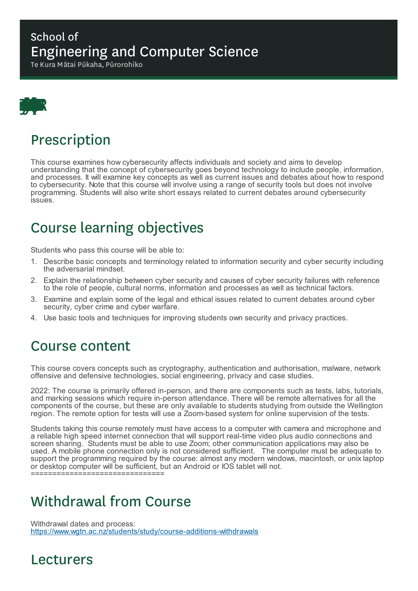#### School of Engineering and Computer Science

Te Kura Mātai Pūkaha, Pūrorohiko



## Prescription

This course examines how cybersecurity affects individuals and society and aims to develop understanding that the concept of cybersecurity goes beyond technology to include people, information, and processes. It will examine key concepts as well as current issues and debates about how to respond to cybersecurity. Note that this course will involve using a range of security tools but does not involve programming. Students will also write short essays related to current debates around cybersecurity issues.

## Course learning objectives

Students who pass this course will be able to:

- 1. Describe basic concepts and terminology related to information security and cyber security including the adversarial mindset.
- 2. Explain the relationship between cyber security and causes of cyber security failures with reference to the role of people, cultural norms, information and processes as well as technical factors.
- 3. Examine and explain some of the legal and ethical issues related to current debates around cyber security, cyber crime and cyber warfare.
- 4. Use basic tools and techniques for improving students own security and privacy practices.

## Course content

This course covers concepts such as cryptography, authentication and authorisation, malware, network offensive and defensive technologies, social engineering, privacy and case studies.

2022: The course is primarily offered in-person, and there are components such as tests, labs, tutorials, and marking sessions which require in-person attendance. There will be remote alternatives for all the components of the course, but these are only available to students studying from outside the Wellington region. The remote option for tests will use a Zoom-based system for online supervision of the tests.

Students taking this course remotely must have access to a computer with camera and microphone and a reliable high speed internet connection that will support real-time video plus audio connections and screen sharing. Students must be able to use Zoom; other communication applications may also be used. A mobile phone connection only is not considered sufficient. The computer must be adequate to support the programming required by the course: almost any modern windows, macintosh, or unix laptop or desktop computer will be sufficient, but an Android or IOS tablet will not. ===============================

Withdrawal from Course

Withdrawal dates and process: https://www.wgtn.ac.nz/students/study/course-additions-withdrawals

#### Lecturers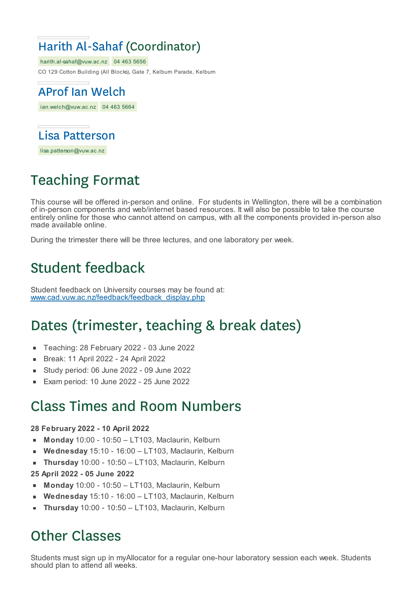## Harith Al-Sahaf (Coordinator)

harith.al-sahaf@vuw.ac.nz 04 463 5656 CO 129 Cotton Building (All Blocks), Gate 7, Kelburn Parade, Kelburn

ian.welch@vuw.ac.nz 04 463 5664 AProf Ian Welch



lisa.patterson@vuw.ac.nz

# Teaching Format

This course will be offered in-person and online. For students in Wellington, there will be a combination of in-person components and web/internet based resources. It will also be possible to take the course entirely online for those who cannot attend on campus, with all the components provided in-person also made available online.

During the trimester there will be three lectures, and one laboratory per week.

## Student feedback

Student feedback on University courses may be found at: www.cad.vuw.ac.nz/feedback/feedback\_display.php

## Dates (trimester, teaching & break dates)

- Teaching: 28 February 2022 03 June 2022  $\blacksquare$
- Break: 11 April 2022 24 April 2022  $\blacksquare$
- Study period: 06 June 2022 09 June 2022
- Exam period: 10 June 2022 25 June 2022

## Class Times and Room Numbers

#### **28 February 2022 - 10 April 2022**

- **Monday** 10:00 10:50 LT103, Maclaurin, Kelburn  $\blacksquare$
- **Wednesday** 15:10 16:00 LT103, Maclaurin, Kelburn
- × **Thursday** 10:00 - 10:50 – LT103, Maclaurin, Kelburn
- **25 April 2022 - 05 June 2022**
- **Monday** 10:00 10:50 LT103, Maclaurin, Kelburn
- **Wednesday** 15:10 16:00 LT103, Maclaurin, Kelburn
- **Thursday** 10:00 10:50 LT103, Maclaurin, Kelburn

## Other Classes

Students must sign up in myAllocator for a regular one-hour laboratory session each week. Students should plan to attend all weeks.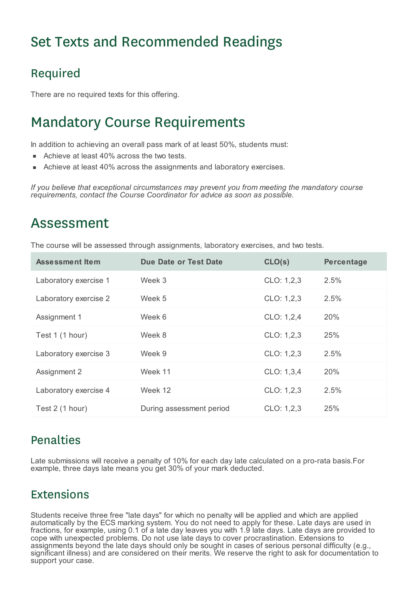## Set Texts and Recommended Readings

## Required

There are no required texts for this offering.

## Mandatory Course Requirements

In addition to achieving an overall pass mark of at least 50%, students must:

- Achieve at least 40% across the two tests.
- Achieve at least 40% across the assignments and laboratory exercises.

*If you believe that exceptional circumstances may prevent you from meeting the mandatory course requirements, contact the Course Coordinator for advice as soon as possible.*

## Assessment

The course will be assessed through assignments, laboratory exercises, and two tests.

| <b>Assessment Item</b> | <b>Due Date or Test Date</b> | CLO(s)     | Percentage |
|------------------------|------------------------------|------------|------------|
| Laboratory exercise 1  | Week 3                       | CLO: 1,2,3 | 2.5%       |
| Laboratory exercise 2  | Week 5                       | CLO: 1,2,3 | 2.5%       |
| Assignment 1           | Week 6                       | CLO: 1,2,4 | 20%        |
| Test 1 (1 hour)        | Week 8                       | CLO: 1,2,3 | 25%        |
| Laboratory exercise 3  | Week 9                       | CLO: 1,2,3 | 2.5%       |
| Assignment 2           | Week 11                      | CLO: 1,3,4 | 20%        |
| Laboratory exercise 4  | Week 12                      | CLO: 1,2,3 | 2.5%       |
| Test 2 (1 hour)        | During assessment period     | CLO: 1,2,3 | 25%        |

#### Penalties

Late submissions will receive a penalty of 10% for each day late calculated on a pro-rata basis.For example, three days late means you get 30% of your mark deducted.

#### Extensions

Students receive three free "late days" for which no penalty will be applied and which are applied automatically by the ECS marking system. You do not need to apply for these. Late days are used in fractions, for example, using 0.1 of a late day leaves you with 1.9 late days. Late days are provided to cope with unexpected problems. Do not use late days to cover procrastination. Extensions to assignments beyond the late days should only be sought in cases of serious personal difficulty (e.g., significant illness) and are considered on their merits. We reserve the right to ask for documentation to support your case.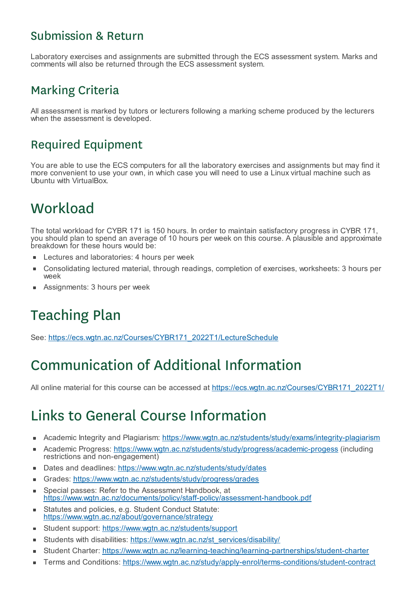#### Submission & Return

Laboratory exercises and assignments are submitted through the ECS assessment system. Marks and comments will also be returned through the ECS assessment system.

#### Marking Criteria

All assessment is marked by tutors or lecturers following a marking scheme produced by the lecturers when the assessment is developed.

#### Required Equipment

You are able to use the ECS computers for all the laboratory exercises and assignments but may find it more convenient to use your own, in which case you will need to use a Linux virtual machine such as Ubuntu with VirtualBox.

## **Workload**

The total workload for CYBR 171 is 150 hours. In order to maintain satisfactory progress in CYBR 171, you should plan to spend an average of 10 hours per week on this course. A plausible and approximate breakdown for these hours would be:

- Lectures and laboratories: 4 hours per week
- Consolidating lectured material, through readings, completion of exercises, worksheets: 3 hours per  $\blacksquare$ week
- Assignments: 3 hours per week

# Teaching Plan

See: https://ecs.wgtn.ac.nz/Courses/CYBR171\_2022T1/LectureSchedule

## Communication of Additional Information

All online material for this course can be accessed at https://ecs.wgtn.ac.nz/Courses/CYBR171\_2022T1/

## Links to General Course Information

- Academic Integrity and Plagiarism: https://www.wgtn.ac.nz/students/study/exams/integrity-plagiarism
- Academic Progress: https://www.wgtn.ac.nz/students/study/progress/academic-progess (including restrictions and non-engagement)
- Dates and deadlines: https://www.wgtn.ac.nz/students/study/dates  $\blacksquare$
- Grades: https://www.wgtn.ac.nz/students/study/progress/grades  $\blacksquare$
- Special passes: Refer to the Assessment Handbook, at https://www.wgtn.ac.nz/documents/policy/staff-policy/assessment-handbook.pdf
- Statutes and policies, e.g. Student Conduct Statute:  $\blacksquare$ https://www.wgtn.ac.nz/about/governance/strategy
- Student support: https://www.wgtn.ac.nz/students/support ×
- Students with disabilities: https://www.wgtn.ac.nz/st\_services/disability/
- Student Charter: https://www.wgtn.ac.nz/learning-teaching/learning-partnerships/student-charter É
- Terms and Conditions: https://www.wgtn.ac.nz/study/apply-enrol/terms-conditions/student-contractr.